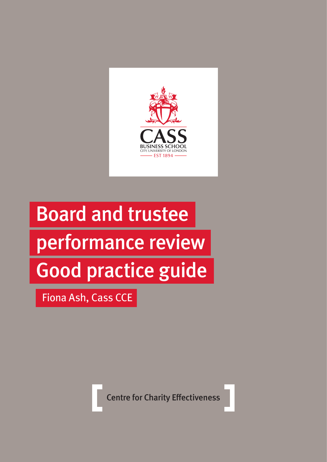

# Board and trustee performance review Good practice guide

Fiona Ash, Cass CCE

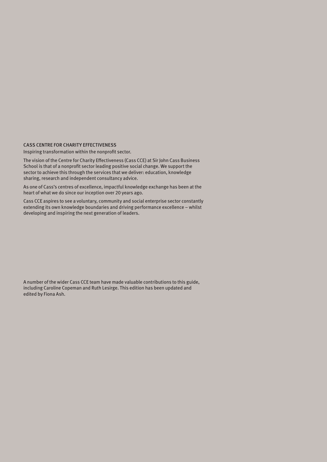#### CASS CENTRE FOR CHARITY EFFECTIVENESS

Inspiring transformation within the nonprofit sector.

The vision of the Centre for Charity Effectiveness (Cass CCE) at Sir John Cass Business School is that of a nonprofit sector leading positive social change. We support the sector to achieve this through the services that we deliver: education, knowledge sharing, research and independent consultancy advice.

As one of Cass's centres of excellence, impactful knowledge exchange has been at the heart of what we do since our inception over 20 years ago.

Cass CCE aspires to see a voluntary, community and social enterprise sector constantly extending its own knowledge boundaries and driving performance excellence – whilst developing and inspiring the next generation of leaders.

A number of the wider Cass CCE team have made valuable contributions to this guide, including Caroline Copeman and Ruth Lesirge. This edition has been updated and edited by Fiona Ash.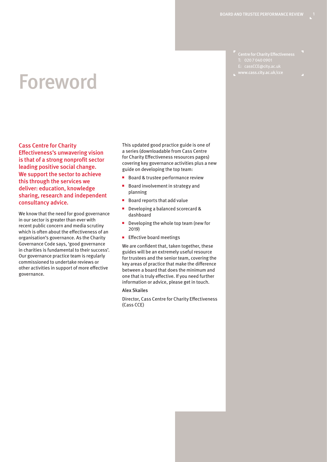Centre for Charity Effectiveness T: 020 7 040 0901 E: cassCCE@city.ac.uk

### Foreword

Cass Centre for Charity Effectiveness's unwavering vision is that of a strong nonprofit sector leading positive social change. We support the sector to achieve this through the services we deliver: education, knowledge sharing, research and independent consultancy advice.

We know that the need for good governance in our sector is greater than ever with recent public concern and media scrutiny which is often about the effectiveness of an organisation's governance. As the Charity Governance Code says, 'good governance in charities is fundamental to their success'. Our governance practice team is regularly commissioned to undertake reviews or other activities in support of more effective governance.

This updated good practice guide is one of a series (downloadable from Cass Centre for Charity Effectiveness resources pages) covering key governance activities plus a new guide on developing the top team:

- Board & trustee performance review
- Board involvement in strategy and planning
- Board reports that add value
- Developing a balanced scorecard & dashboard
- Developing the whole top team (new for 2019)
- Effective board meetings

We are confident that, taken together, these guides will be an extremely useful resource for trustees and the senior team, covering the key areas of practice that make the difference between a board that does the minimum and one that is truly effective. If you need further information or advice, please get in touch.

#### Alex Skailes

Director, Cass Centre for Charity Effectiveness (Cass CCE)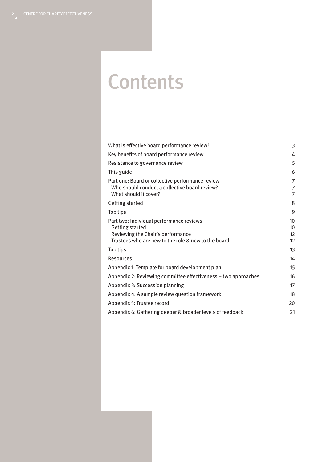### **Contents**

| What is effective board performance review?                                                                                                                    | 3                        |
|----------------------------------------------------------------------------------------------------------------------------------------------------------------|--------------------------|
| Key benefits of board performance review                                                                                                                       | 4                        |
| Resistance to governance review                                                                                                                                | 5                        |
| This guide                                                                                                                                                     | 6                        |
| Part one: Board or collective performance review<br>Who should conduct a collective board review?<br>What should it cover?                                     | 7<br>7<br>$\overline{7}$ |
| <b>Getting started</b>                                                                                                                                         | 8                        |
| Top tips                                                                                                                                                       | 9                        |
| Part two: Individual performance reviews<br><b>Getting started</b><br>Reviewing the Chair's performance<br>Trustees who are new to the role & new to the board | 10<br>10<br>12<br>12     |
| Top tips                                                                                                                                                       | 13                       |
| <b>Resources</b>                                                                                                                                               | 14                       |
| Appendix 1: Template for board development plan                                                                                                                | 15                       |
| Appendix 2: Reviewing committee effectiveness – two approaches                                                                                                 | 16                       |
| Appendix 3: Succession planning                                                                                                                                | 17                       |
| Appendix 4: A sample review question framework                                                                                                                 | 18                       |
| Appendix 5: Trustee record                                                                                                                                     | 20                       |
| Appendix 6: Gathering deeper & broader levels of feedback                                                                                                      | 21                       |
|                                                                                                                                                                |                          |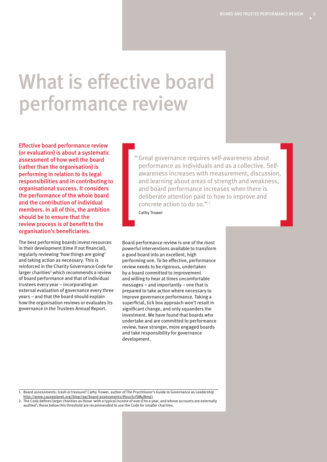### What is effective board performance review

Effective board performance review (or evaluation) is about a systematic assessment of how well the board (rather than the organisation) is performing in relation to its legal responsibilities and in contributing to organisational success. It considers the performance of the whole board and the contribution of individual members. In all of this, the ambition should be to ensure that the review process is of benefit to the organisation's beneficiaries.

The best performing boards invest resources in their development (time if not financial), regularly reviewing 'how things are going' and taking action as necessary. This is reinforced in the Charity Governance Code for larger charities<sup>2</sup> which recommends a review of board performance and that of individual trustees every year – incorporating an external evaluation of governance every three years – and that the board should explain how the organisation reviews or evaluates its governance in the Trustees Annual Report.

"Great governance requires self-awareness about performance as individuals and as a collective. Selfawareness increases with measurement, discussion, and learning about areas of strength and weakness, and board performance increases when there is deliberate attention paid to how to improve and concrete action to do so." <sup>1</sup>

Cathy Trower

Board performance review is one of the most powerful interventions available to transform a good board into an excellent, high performing one. To be effective, performance review needs to be rigorous, undertaken by a board committed to improvement and willing to hear at times uncomfortable messages – and importantly – one that is prepared to take action where necessary to improve governance performance. Taking a superficial, tick box approach won't result in significant change, and only squanders the investment. We have found that boards who undertake and are committed to performance review, have stronger, more engaged boards and take responsibility for governance development.

1. Board assessments: trash or treasure? Cathy Trower, author of The Practitioner's Guide to Governance as Leadership <http://www.causeplanet.org/blog/tag/board-assessments/#ixzz5cFJMuNmg1>

2. The Code defines larger charities as those 'with a typical income of over £1m a year, and whose accounts are externally audited'; those below this threshold are recommended to use the Code for smaller charities.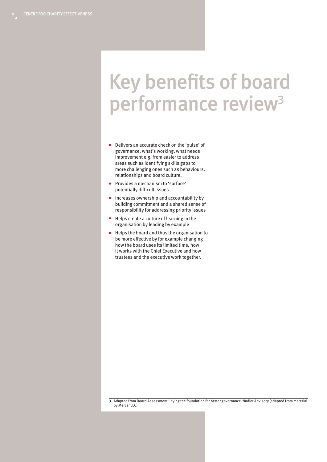### Key benefits of board performance review<sup>3</sup>

- Delivers an accurate check on the 'pulse' of governance; what's working, what needs improvement e.g. from easier to address areas such as identifying skills gaps to more challenging ones such as behaviours, relationships and board culture,
- Provides a mechanism to 'surface' potentially difficult issues
- Increases ownership and accountability by building commitment and a shared sense of responsibility for addressing priority issues
- Helps create a culture of learning in the organisation by leading by example
- Helps the board and thus the organisation to be more effective by for example changing how the board uses its limited time, how it works with the Chief Executive and how trustees and the executive work together.

3. Adapted from Board Assessment: laying the foundation for better governance. Nadler Advisory (adapted from material by Mercer LLC).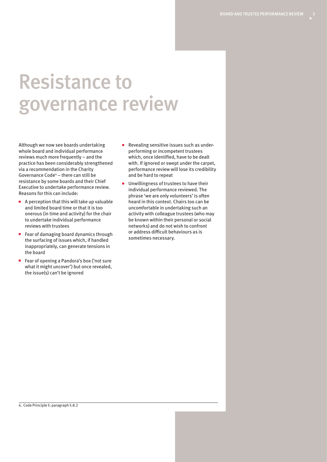### Resistance to governance review

Although we now see boards undertaking whole board and individual performance reviews much more frequently – and the practice has been considerably strengthened via a recommendation in the Charity Governance Code<sup>4</sup> - there can still be resistance by some boards and their Chief Executive to undertake performance review. Reasons for this can include:

- A perception that this will take up valuable and limited board time or that it is too onerous (in time and activity) for the chair to undertake individual performance reviews with trustees
- Fear of damaging board dynamics through the surfacing of issues which, if handled inappropriately, can generate tensions in the board
- Fear of opening a Pandora's box ('not sure what it might uncover') but once revealed, the issue(s) can't be ignored
- Revealing sensitive issues such as underperforming or incompetent trustees which, once identified, have to be dealt with. If ignored or swept under the carpet, performance review will lose its credibility and be hard to repeat
- Unwillingness of trustees to have their individual performance reviewed. The phrase 'we are only volunteers' is often heard in this context. Chairs too can be uncomfortable in undertaking such an activity with colleague trustees (who may be known within their personal or social networks) and do not wish to confront or address difficult behaviours as is sometimes necessary.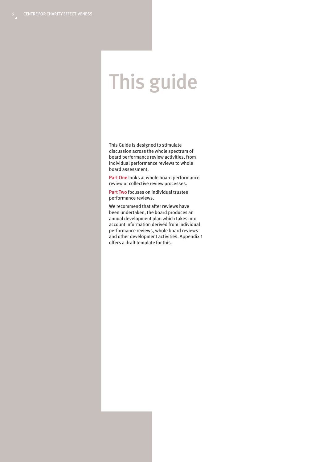### This guide

This Guide is designed to stimulate discussion across the whole spectrum of board performance review activities, from individual performance reviews to whole board assessment.

Part One looks at whole board performance review or collective review processes.

Part Two focuses on individual trustee performance reviews.

We recommend that after reviews have been undertaken, the board produces an annual development plan which takes into account information derived from individual performance reviews, whole board reviews and other development activities. Appendix 1 offers a draft template for this.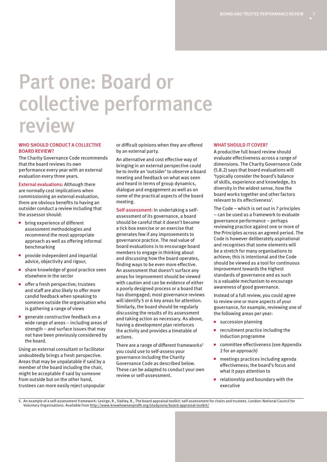### Part one: Board or collective performance review

#### WHO SHOULD CONDUCT A COLLECTIVE BOARD REVIEW?

The Charity Governance Code recommends that the board reviews its own performance every year with an external evaluation every three years.

External evaluations: Although there are normally cost implications when commissioning an external evaluation, there are obvious benefits to having an outsider conduct a review including that the assessor should:

- bring experience of different assessment methodologies and recommend the most appropriate approach as well as offering informal benchmarking
- provide independent and impartial advice, objectivity and rigour,
- share knowledge of good practice seen elsewhere in the sector
- offer a fresh perspective; trustees and staff are also likely to offer more candid feedback when speaking to someone outside the organisation who is gathering a range of views
- generate constructive feedback on a wide range of areas – including areas of strength – and surface issues that may not have been previously considered by the board.

Using an external consultant or facilitator undoubtedly brings a fresh perspective. Areas that may be unpalatable if said by a member of the board including the chair, might be acceptable if said by someone from outside but on the other hand, trustees can more easily reject unpopular

or difficult opinions when they are offered by an external party.

An alternative and cost effective way of bringing in an external perspective could be to invite an 'outsider' to observe a board meeting and feedback on what was seen and heard in terms of group dynamics, dialogue and engagement as well as on some of the practical aspects of the board meeting.

Self-assessment: In undertaking a selfassessment of its governance, a board should be careful that it doesn't become a tick box exercise or an exercise that generates few if any improvements to governance practice. The real value of board evaluations is to encourage board members to engage in thinking about and discussing how the board operates, finding ways to be even more effective. An assessment that doesn't surface any areas for improvement should be viewed with caution and can be evidence of either a poorly designed process or a board that has disengaged; most governance reviews will identify 5 or 6 key areas for attention. Similarly, the board should be regularly discussing the results of its assessment and taking action as necessary. As above, having a development plan reinforces the activity and provides a timetable of actions.

There are a range of different frameworks<sup>5</sup> you could use to self-assess your governance including the Charity Governance Code as described below. These can be adapted to conduct your own review or self-assessment.

#### WHAT SHOULD IT COVER?

A productive full board review should evaluate effectiveness across a range of dimensions. The Charity Governance Code (5.8.2) says that board evaluations will 'typically consider the board's balance of skills, experience and knowledge, its diversity in the widest sense, how the board works together and other factors relevant to its effectiveness'.

The Code – which is set out in 7 principles – can be used as a framework to evaluate governance performance – perhaps reviewing practice against one or more of the Principles across an agreed period. The Code is however deliberately aspirational and recognises that some elements will be a stretch for many organisations to achieve; this is intentional and the Code should be viewed as a tool for continuous improvement towards the highest standards of governance and as such is a valuable mechanism to encourage awareness of good governance.

Instead of a full review, you could agree to review one or more aspects of your governance, for example, reviewing one of the following areas per year:

- succession planning
- recruitment practice including the induction programme
- committee effectiveness (see Appendix 2 for an approach)
- meetings practices including agenda effectiveness; the board's focus and what it pays attention to
- relationship and boundary with the executive

5. An example of a self-assessment framework: Lesirge, R., Oakley, R., The board appraisal toolkit: self-assessment for chairs and trustees. London: National Council for Voluntary Organisations. Available from<http://www.knowhownonprofit.org/studyzone/board-appraisal-toolkit/>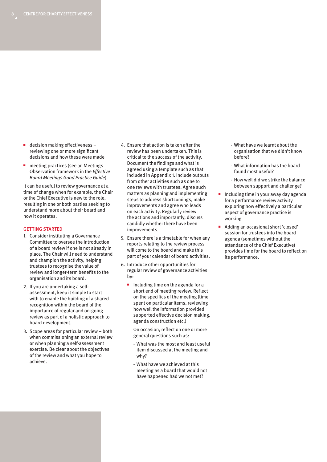- decision making effectiveness reviewing one or more significant decisions and how these were made
- meeting practices (see an Meetings Observation framework in the *Effective Board Meetings Good Practice Guide*).

It can be useful to review governance at a time of change when for example, the Chair or the Chief Executive is new to the role, resulting in one or both parties seeking to understand more about their board and how it operates.

#### GETTING STARTED

- 1. Consider instituting a Governance Committee to oversee the introduction of a board review if one is not already in place. The Chair will need to understand and champion the activity, helping trustees to recognise the value of review and longer-term benefits to the organisation and its board.
- 2. If you are undertaking a selfassessment, keep it simple to start with to enable the building of a shared recognition within the board of the importance of regular and on-going review as part of a holistic approach to board development.
- 3. Scope areas for particular review both when commissioning an external review or when planning a self-assessment exercise. Be clear about the objectives of the review and what you hope to achieve.
- 4. Ensure that action is taken after the review has been undertaken. This is critical to the success of the activity. Document the findings and what is agreed using a template such as that included in Appendix 1. Include outputs from other activities such as one to one reviews with trustees. Agree such matters as planning and implementing steps to address shortcomings, make improvements and agree who leads on each activity. Regularly review the actions and importantly, discuss candidly whether there have been improvements.
- 5. Ensure there is a timetable for when any reports relating to the review process will come to the board and make this part of your calendar of board activities.
- 6. Introduce other opportunities for regular review of governance activities by:
	- Including time on the agenda for a short end of meeting review. Reflect on the specifics of the meeting (time spent on particular items, reviewing how well the information provided supported effective decision making, agenda construction etc.)

On occasion, reflect on one or more general questions such as:

- What was the most and least useful item discussed at the meeting and why?
- What have we achieved at this meeting as a board that would not have happened had we not met?
- What have we learnt about the organisation that we didn't know before?
- What information has the board found most useful?
- How well did we strike the balance between support and challenge?
- Including time in your away day agenda for a performance review activity exploring how effectively a particular aspect of governance practice is working
- Adding an occasional short 'closed' session for trustees into the board agenda (sometimes without the attendance of the Chief Executive) provides time for the board to reflect on its performance.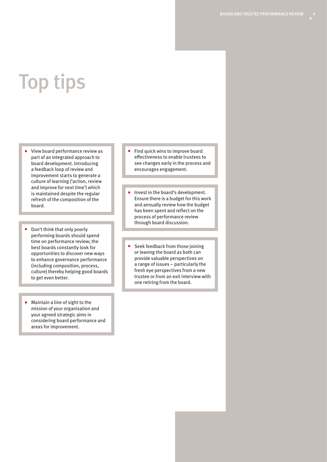### Top tips

- View board performance review as part of an integrated approach to board development. Introducing a feedback loop of review and improvement starts to generate a culture of learning ('action, review and improve for next time') which is maintained despite the regular refresh of the composition of the board.
- Don't think that only poorly performing boards should spend time on performance review; the best boards constantly look for opportunities to discover new ways to enhance governance performance (including composition, process, culture) thereby helping good boards to get even better.
- Maintain a line of sight to the mission of your organisation and your agreed strategic aims in considering board performance and areas for improvement.
- Find quick wins to improve board effectiveness to enable trustees to see changes early in the process and encourages engagement.
- Invest in the board's development. Ensure there is a budget for this work and annually review how the budget has been spent and reflect on the process of performance review through board discussion.
- Seek feedback from those joining or leaving the board as both can provide valuable perspectives on a range of issues – particularly the fresh eye perspectives from a new trustee or from an exit interview with one retiring from the board.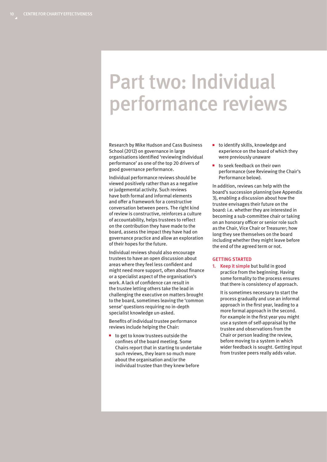### Part two: Individual performance reviews

Research by Mike Hudson and Cass Business School (2012) on governance in large organisations identified 'reviewing individual performance' as one of the top 20 drivers of good governance performance.

Individual performance reviews should be viewed positively rather than as a negative or judgemental activity. Such reviews have both formal and informal elements and offer a framework for a constructive conversation between peers. The right kind of review is constructive, reinforces a culture of accountability, helps trustees to reflect on the contribution they have made to the board, assess the impact they have had on governance practice and allow an exploration of their hopes for the future.

Individual reviews should also encourage trustees to have an open discussion about areas where they feel less confident and might need more support, often about finance or a specialist aspect of the organisation's work. A lack of confidence can result in the trustee letting others take the lead in challenging the executive on matters brought to the board, sometimes leaving the 'common sense' questions requiring no in-depth specialist knowledge un-asked.

Benefits of individual trustee performance reviews include helping the Chair:

to get to know trustees outside the confines of the board meeting. Some Chairs report that in starting to undertake such reviews, they learn so much more about the organisation and/or the individual trustee than they knew before

- to identify skills, knowledge and experience on the board of which they were previously unaware
- to seek feedback on their own performance (see Reviewing the Chair's Performance below).

In addition, reviews can help with the board's succession planning (see Appendix 3), enabling a discussion about how the trustee envisages their future on the board: i.e. whether they are interested in becoming a sub-committee chair or taking on an honorary officer or senior role such as the Chair, Vice Chair or Treasurer; how long they see themselves on the board including whether they might leave before the end of the agreed term or not.

#### GETTING STARTED

1. Keep it simple but build in good practice from the beginning. Having some formality to the process ensures that there is consistency of approach.

It is sometimes necessary to start the process gradually and use an informal approach in the first year, leading to a more formal approach in the second. For example in the first year you might use a system of self-appraisal by the trustee and observations from the Chair or person leading the review, before moving to a system in which wider feedback is sought. Getting input from trustee peers really adds value.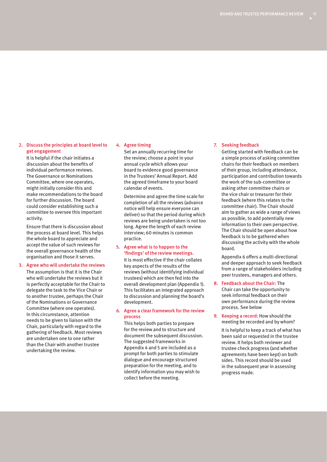#### 2. Discuss the principles at board level to get engagement

It is helpful if the chair initiates a discussion about the benefits of individual performance reviews. The Governance or Nominations Committee, where one operates, might initially consider this and make recommendations to the board for further discussion. The board could consider establishing such a committee to oversee this important activity.

Ensure that there is discussion about the process at board level. This helps the whole board to appreciate and accept the value of such reviews for the overall governance health of the organisation and those it serves.

#### 3. Agree who will undertake the reviews

The assumption is that it is the Chair who will undertake the reviews but it is perfectly acceptable for the Chair to delegate the task to the Vice Chair or to another trustee, perhaps the Chair of the Nominations or Governance Committee (where one operates). In this circumstance, attention needs to be given to liaison with the Chair, particularly with regard to the gathering of feedback. Most reviews are undertaken one to one rather than the Chair with another trustee undertaking the review.

#### 4. Agree timing

Set an annually recurring time for the review; choose a point in your annual cycle which allows your board to evidence good governance in the Trustees' Annual Report. Add the agreed timeframe to your board calendar of events.

Determine and agree the time scale for completion of all the reviews (advance notice will help ensure everyone can deliver) so that the period during which reviews are being undertaken is not too long. Agree the length of each review interview; 60 minutes is common practice.

#### 5. Agree what is to happen to the 'findings' of the review meetings.

It is most effective if the chair collates key aspects of the results of the reviews (without identifying individual trustees) which are then fed into the overall development plan (Appendix 1). This facilitates an integrated approach to discussion and planning the board's development.

#### 6. Agree a clear framework for the review process

This helps both parties to prepare for the review and to structure and document the subsequent discussion. The suggested frameworks in Appendix 4 and 5 are included as a prompt for both parties to stimulate dialogue and encourage structured preparation for the meeting, and to identify information you may wish to collect before the meeting.

#### 7. Seeking feedback

Getting started with feedback can be a simple process of asking committee chairs for their feedback on members of their group, including attendance, participation and contribution towards the work of the sub-committee or asking other committee chairs or the vice chair or treasurer for their feedback (where this relates to the committee chair). The Chair should aim to gather as wide a range of views as possible, to add potentially new information to their own perspective. The Chair should be open about how feedback is to be gathered when discussing the activity with the whole board.

Appendix 6 offers a multi-directional and deeper approach to seek feedback from a range of stakeholders including peer trustees, managers and others.

8. Feedback about the Chair: The Chair can take the opportunity to seek informal feedback on their own performance during the review process. See below

9. Keeping a record: How should the meeting be recorded and by whom?

It is helpful to keep a track of what has been said or requested in the trustee review. It helps both reviewer and trustee check progress (and whether agreements have been kept) on both sides. This record should be used in the subsequent year in assessing progress made.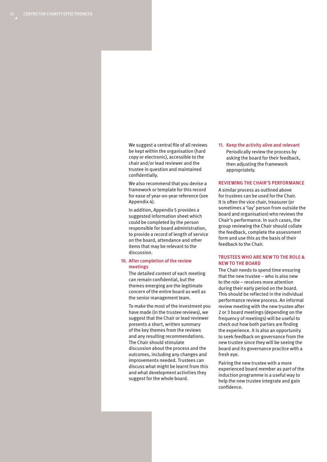We suggest a central file of all reviews be kept within the organisation (hard copy or electronic), accessible to the chair and/or lead reviewer and the trustee in question and maintained confidentially.

We also recommend that you devise a framework or template for this record for ease of year-on-year reference (see Appendix 4).

In addition, Appendix 5 provides a suggested information sheet which could be completed by the person responsible for board administration, to provide a record of length of service on the board, attendance and other items that may be relevant to the discussion.

#### 10. After completion of the review meetings

The detailed content of each meeting can remain confidential, but the themes emerging are the legitimate concern of the entire board as well as the senior management team.

To make the most of the investment you have made (in the trustee reviews), we suggest that the Chair or lead reviewer presents a short, written summary of the key themes from the reviews and any resulting recommendations. The Chair should stimulate discussion about the process and the outcomes, including any changes and improvements needed. Trustees can discuss what might be learnt from this and what development activities they suggest for the whole board.

11. Keep the activity alive and relevant Periodically review the process by asking the board for their feedback, then adjusting the framework appropriately.

#### REVIEWING THE CHAIR'S PERFORMANCE

A similar process as outlined above for trustees can be used for the Chair. It is often the vice chair, treasurer (or sometimes a 'lay' person from outside the board and organisation) who reviews the Chair's performance. In such cases, the group reviewing the Chair should collate the feedback, complete the assessment form and use this as the basis of their feedback to the Chair.

#### TRUSTEES WHO ARE NEW TO THE ROLE & NEW TO THE BOARD

The Chair needs to spend time ensuring that the new trustee – who is also new to the role – receives more attention during their early period on the board. This should be reflected in the individual performance review process. An informal review meeting with the new trustee after 2 or 3 board meetings (depending on the frequency of meetings) will be useful to check out how both parties are finding the experience. It is also an opportunity to seek feedback on governance from the new trustee since they will be seeing the board and its governance practice with a fresh eye.

Pairing the new trustee with a more experienced board member as part of the induction programme is a useful way to help the new trustee integrate and gain confidence.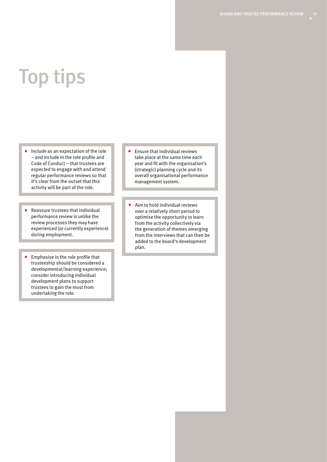## Top tips

- Include as an expectation of the role – and include in the role profile and Code of Conduct – that trustees are expected to engage with and attend regular performance reviews so that it's clear from the outset that this activity will be part of the role.
- Reassure trustees that individual performance review is unlike the review processes they may have experienced (or currently experience) during employment.
- Emphasise in the role profile that trusteeship should be considered a developmental/learning experience; consider introducing individual development plans to support trustees to gain the most from undertaking the role.
- Ensure that individual reviews take place at the same time each year and fit with the organisation's (strategic) planning cycle and its overall organisational performance management system.
- Aim to hold individual reviews over a relatively short period to optimise the opportunity to learn from the activity collectively via the generation of themes emerging from the interviews that can then be added to the board's development plan.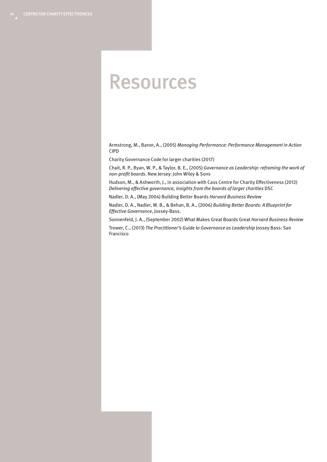### Resources

Armstrong, M., Baron, A., (2005) *Managing Performance: Performance Management in Action* CIPD

Charity Governance Code for larger charities (2017)

Chait, R. P., Ryan, W. P., & Taylor, B. E., (2005) *Governance as Leadership: reframing the work of non-profit boards*. New Jersey: John Wiley & Sons

Hudson, M., & Ashworth, J., in association with Cass Centre for Charity Effectiveness (2012) *Delivering effective governance, insights from the boards of larger charities* DSC

Nadler, D. A., (May 2004) Building Better Boards *Harvard Business Review*

Nadler, D. A., Nadler, M. B., & Behan, B. A., (2006) *Building Better Boards: A Blueprint for Effective Governance*, Jossey-Bass.

Sonnenfeld, J. A., (September 2002) What Makes Great Boards Great *Harvard Business Review*

Trower, C., (2013) *The Practitioner's Guide to Governance as Leadership* Jossey Bass: San Francisco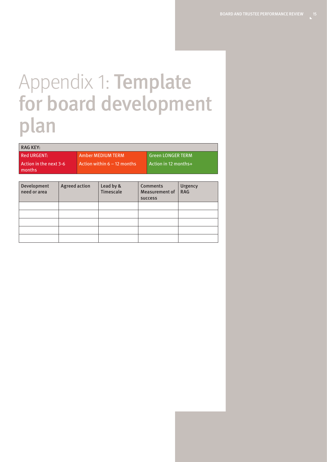### Appendix 1: Template for board development plan

#### RAG KEY:

Red URGENT: Action in the next 3-6 months

Amber MEDIUM TERM Action within  $6 - 12$  months Green LONGER TERM Action in 12 months+

| Development<br>need or area | <b>Agreed action</b> | Lead by &<br><b>Timescale</b> | <b>Comments</b><br><b>Measurement of</b><br><b>SUCCESS</b> | Urgency<br><b>RAG</b> |
|-----------------------------|----------------------|-------------------------------|------------------------------------------------------------|-----------------------|
|                             |                      |                               |                                                            |                       |
|                             |                      |                               |                                                            |                       |
|                             |                      |                               |                                                            |                       |
|                             |                      |                               |                                                            |                       |
|                             |                      |                               |                                                            |                       |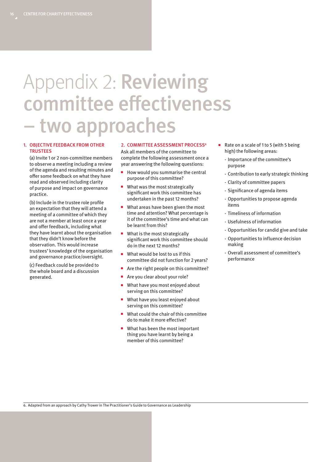### Appendix 2: Reviewing committee effectiveness – two approaches

#### 1. OBJECTIVE FEEDBACK FROM OTHER **TRUSTEES**

(a) Invite 1 or 2 non-committee members to observe a meeting including a review of the agenda and resulting minutes and offer some feedback on what they have read and observed including clarity of purpose and impact on governance practice.

(b) Include in the trustee role profile an expectation that they will attend a meeting of a committee of which they are not a member at least once a year and offer feedback, including what they have learnt about the organisation that they didn't know before the observation. This would increase trustees' knowledge of the organisation and governance practice/oversight.

(c) Feedback could be provided to the whole board and a discussion generated.

#### 2. COMMITTEE ASSESSMENT PROCESS<sup>6</sup>

Ask all members of the committee to complete the following assessment once a year answering the following questions:

- How would you summarise the central purpose of this committee?
- What was the most strategically significant work this committee has undertaken in the past 12 months?
- What areas have been given the most time and attention? What percentage is it of the committee's time and what can be learnt from this?
- What is the most strategically significant work this committee should do in the next 12 months?
- What would be lost to us if this committee did not function for 2 years?
- Are the right people on this committee?
- Are you clear about your role?
- What have you most enjoyed about serving on this committee?
- What have you least enjoyed about serving on this committee?
- What could the chair of this committee do to make it more effective?
- What has been the most important thing you have learnt by being a member of this committee?
- Rate on a scale of 1 to 5 (with 5 being high) the following areas:
	- Importance of the committee's purpose
	- Contribution to early strategic thinking
	- Clarity of committee papers
	- Significance of agenda items
	- Opportunities to propose agenda items
	- Timeliness of information
	- Usefulness of information
	- Opportunities for candid give and take
	- Opportunities to influence decision making
	- Overall assessment of committee's performance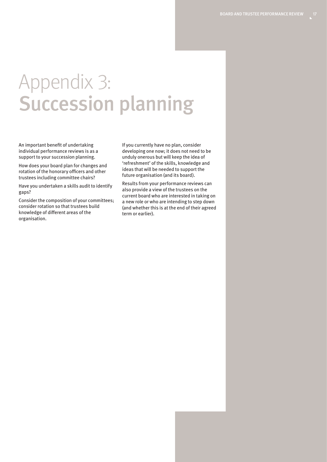### Appendix 3: Succession planning

An important benefit of undertaking individual performance reviews is as a support to your succession planning.

How does your board plan for changes and rotation of the honorary officers and other trustees including committee chairs?

Have you undertaken a skills audit to identify gaps?

Consider the composition of your committees; consider rotation so that trustees build knowledge of different areas of the organisation.

If you currently have no plan, consider developing one now; it does not need to be unduly onerous but will keep the idea of 'refreshment' of the skills, knowledge and ideas that will be needed to support the future organisation (and its board).

Results from your performance reviews can also provide a view of the trustees on the current board who are interested in taking on a new role or who are intending to step down (and whether this is at the end of their agreed term or earlier).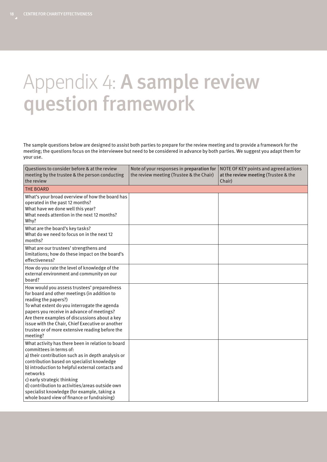### Appendix 4: A sample review question framework

The sample questions below are designed to assist both parties to prepare for the review meeting and to provide a framework for the meeting; the questions focus on the interviewee but need to be considered in advance by both parties. We suggest you adapt them for your use.

| Questions to consider before & at the review<br>meeting by the trustee & the person conducting<br>the review                                                                                                                                                                                                                                                                                                                     | Note of your responses in preparation for<br>the review meeting (Trustee & the Chair) | NOTE OF KEY points and agreed actions<br>at the review meeting (Trustee & the<br>Chair) |
|----------------------------------------------------------------------------------------------------------------------------------------------------------------------------------------------------------------------------------------------------------------------------------------------------------------------------------------------------------------------------------------------------------------------------------|---------------------------------------------------------------------------------------|-----------------------------------------------------------------------------------------|
| <b>THE BOARD</b>                                                                                                                                                                                                                                                                                                                                                                                                                 |                                                                                       |                                                                                         |
| What's your broad overview of how the board has<br>operated in the past 12 months?<br>What have we done well this year?<br>What needs attention in the next 12 months?<br>Why?                                                                                                                                                                                                                                                   |                                                                                       |                                                                                         |
| What are the board's key tasks?<br>What do we need to focus on in the next 12<br>months?                                                                                                                                                                                                                                                                                                                                         |                                                                                       |                                                                                         |
| What are our trustees' strengthens and<br>limitations; how do these impact on the board's<br>effectiveness?                                                                                                                                                                                                                                                                                                                      |                                                                                       |                                                                                         |
| How do you rate the level of knowledge of the<br>external environment and community on our<br>board?                                                                                                                                                                                                                                                                                                                             |                                                                                       |                                                                                         |
| How would you assess trustees' preparedness<br>for board and other meetings (in addition to<br>reading the papers?)<br>To what extent do you interrogate the agenda<br>papers you receive in advance of meetings?<br>Are there examples of discussions about a key<br>issue with the Chair, Chief Executive or another<br>trustee or of more extensive reading before the<br>meeting?                                            |                                                                                       |                                                                                         |
| What activity has there been in relation to board<br>committees in terms of:<br>a) their contribution such as in depth analysis or<br>contribution based on specialist knowledge<br>b) introduction to helpful external contacts and<br>networks<br>c) early strategic thinking<br>d) contribution to activities/areas outside own<br>specialist knowledge (for example, taking a<br>whole board view of finance or fundraising) |                                                                                       |                                                                                         |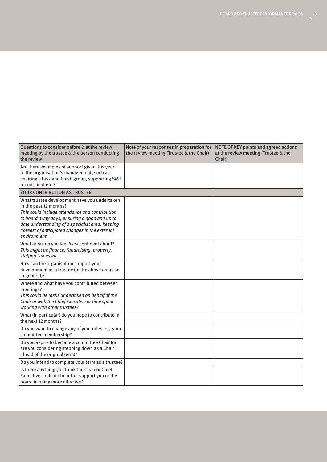| Questions to consider before & at the review<br>meeting by the trustee & the person conducting<br>the review                                                                                                                                                                                   | Note of your responses in preparation for<br>the review meeting (Trustee & the Chair) | NOTE OF KEY points and agreed actions<br>at the review meeting (Trustee & the<br>Chair) |
|------------------------------------------------------------------------------------------------------------------------------------------------------------------------------------------------------------------------------------------------------------------------------------------------|---------------------------------------------------------------------------------------|-----------------------------------------------------------------------------------------|
| Are there examples of support given this year<br>to the organisation's management, such as<br>chairing a task and finish group, supporting SMT<br>recruitment etc.?                                                                                                                            |                                                                                       |                                                                                         |
| YOUR CONTRIBUTION AS TRUSTEE                                                                                                                                                                                                                                                                   |                                                                                       |                                                                                         |
| What trustee development have you undertaken<br>in the past 12 months?<br>This could include attendance and contribution<br>to board away days; ensuring a good and up to<br>date understanding of a specialist area; keeping<br>abreast of anticipated changes in the external<br>environment |                                                                                       |                                                                                         |
| What areas do you feel least confident about?<br>This might be finance, fundraising, property,<br>staffing issues etc.                                                                                                                                                                         |                                                                                       |                                                                                         |
| How can the organisation support your<br>development as a trustee (in the above areas or<br>in general)?                                                                                                                                                                                       |                                                                                       |                                                                                         |
| Where and what have you contributed between<br>meetings?<br>This could be tasks undertaken on behalf of the<br>Chair or with the Chief Executive or time spent<br>working with other trustees?                                                                                                 |                                                                                       |                                                                                         |
| What (in particular) do you hope to contribute in<br>the next 12 months?                                                                                                                                                                                                                       |                                                                                       |                                                                                         |
| Do you want to change any of your roles e.g. your<br>committee membership?                                                                                                                                                                                                                     |                                                                                       |                                                                                         |
| Do you aspire to become a committee Chair (or<br>are you considering stepping down as a Chair<br>ahead of the original term)?                                                                                                                                                                  |                                                                                       |                                                                                         |
| Do you intend to complete your term as a trustee?                                                                                                                                                                                                                                              |                                                                                       |                                                                                         |
| Is there anything you think the Chair or Chief<br>Executive could do to better support you or the<br>board in being more effective?                                                                                                                                                            |                                                                                       |                                                                                         |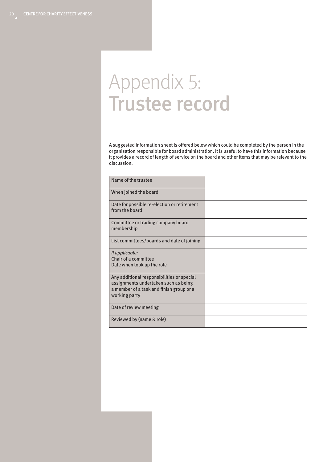### Appendix 5: Trustee record

A suggested information sheet is offered below which could be completed by the person in the organisation responsible for board administration. It is useful to have this information because it provides a record of length of service on the board and other items that may be relevant to the discussion.

| Name of the trustee                                                                                                                             |  |
|-------------------------------------------------------------------------------------------------------------------------------------------------|--|
| When joined the board                                                                                                                           |  |
| Date for possible re-election or retirement<br>from the board                                                                                   |  |
| Committee or trading company board<br>membership                                                                                                |  |
| List committees/boards and date of joining                                                                                                      |  |
| If applicable:<br>Chair of a committee<br>Date when took up the role                                                                            |  |
| Any additional responsibilities or special<br>assignments undertaken such as being<br>a member of a task and finish group or a<br>working party |  |
| Date of review meeting                                                                                                                          |  |
| Reviewed by (name & role)                                                                                                                       |  |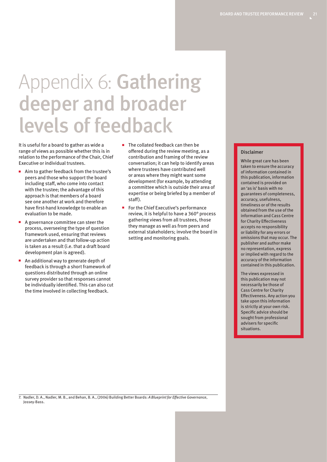### Appendix 6: Gathering deeper and broader levels of feedback

It is useful for a board to gather as wide a range of views as possible whether this is in relation to the performance of the Chair, Chief Executive or individual trustees.

- Aim to gather feedback from the trustee's peers and those who support the board including staff, who come into contact with the trustee; the advantage of this approach is that members of a board see one another at work and therefore have first-hand knowledge to enable an evaluation to be made.
- A governance committee can steer the process, overseeing the type of question framework used, ensuring that reviews are undertaken and that follow-up action is taken as a result (i.e. that a draft board development plan is agreed).
- An additional way to generate depth of feedback is through a short framework of questions distributed through an online survey provider so that responses cannot be individually identified. This can also cut the time involved in collecting feedback.
- The collated feedback can then be offered during the review meeting, as a contribution and framing of the review conversation; it can help to identify areas where trustees have contributed well or areas where they might want some development (for example, by attending a committee which is outside their area of expertise or being briefed by a member of staff).
- For the Chief Executive's performance review, it is helpful to have a 360° process gathering views from all trustees, those they manage as well as from peers and external stakeholders; involve the board in setting and monitoring goals.

#### Disclaimer

While great care has been taken to ensure the accuracy of information contained in this publication, information contained is provided on an 'as is' basis with no guarantees of completeness, accuracy, usefulness, timeliness or of the results obtained from the use of the information and Cass Centre for Charity Effectiveness accepts no responsibility or liability for any errors or omissions that may occur. The publisher and author make no representation, express or implied with regard to the accuracy of the information contained in this publication.

The views expressed in this publication may not necessarily be those of Cass Centre for Charity Effectiveness. Any action you take upon this information is strictly at your own risk. Specific advice should be sought from professional advisers for specific situations.

7. Nadler, D. A., Nadler, M. B., and Behan, B. A., (2006) Building Better Boards: *A Blueprint for Effective Governance*, Jossey-Bass.